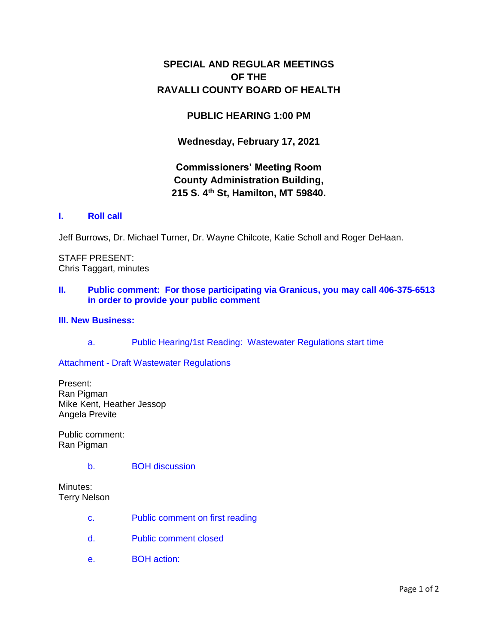# **SPECIAL AND REGULAR MEETINGS OF THE RAVALLI COUNTY BOARD OF HEALTH**

## **PUBLIC HEARING 1:00 PM**

**Wednesday, February 17, 2021**

# **Commissioners' Meeting Room County Administration Building, 215 S. 4th St, Hamilton, MT 59840.**

### **I. [Roll call](http://ravalli-mt.granicus.com/wordlinkreceiver.php?clip_id=2d53841c-a557-404b-a41c-4c590d7de92b&meta_id=12d87b70-0233-4cfb-8e0a-6531c1259924&time=5)**

Jeff Burrows, Dr. Michael Turner, Dr. Wayne Chilcote, Katie Scholl and Roger DeHaan.

STAFF PRESENT: Chris Taggart, minutes

#### **II. [Public comment: For those participating via Granicus, you may call 406-375-6513](http://ravalli-mt.granicus.com/wordlinkreceiver.php?clip_id=2d53841c-a557-404b-a41c-4c590d7de92b&meta_id=294020a2-8006-40ca-8b0e-fd00c70a8de0&time=36)  [in order to provide your public comment](http://ravalli-mt.granicus.com/wordlinkreceiver.php?clip_id=2d53841c-a557-404b-a41c-4c590d7de92b&meta_id=294020a2-8006-40ca-8b0e-fd00c70a8de0&time=36)**

#### **[III. New Business:](http://ravalli-mt.granicus.com/wordlinkreceiver.php?clip_id=2d53841c-a557-404b-a41c-4c590d7de92b&meta_id=ee2fe825-b1eb-4bcb-b1da-20b0bb8ff91d&time=60)**

a. [Public Hearing/1st Reading: Wastewater Regulations start time](http://ravalli-mt.granicus.com/wordlinkreceiver.php?clip_id=2d53841c-a557-404b-a41c-4c590d7de92b&meta_id=85a763ac-f422-4fe1-b6ad-19f3d548bea7&time=61)

Attachment - [Draft Wastewater Regulations](http://ravalli-mt.granicus.com/DocumentViewer.php?file=ravalli-mt_bc2d078755bb468463a4a686d7ae8a8d.pdf)

Present: Ran Pigman Mike Kent, Heather Jessop Angela Previte

Public comment: Ran Pigman

#### b. [BOH discussion](http://ravalli-mt.granicus.com/wordlinkreceiver.php?clip_id=2d53841c-a557-404b-a41c-4c590d7de92b&meta_id=59ef1ee3-1797-4761-a54a-e016e4305c29&time=1764)

Minutes: Terry Nelson

- c. [Public comment on first reading](http://ravalli-mt.granicus.com/wordlinkreceiver.php?clip_id=2d53841c-a557-404b-a41c-4c590d7de92b&meta_id=1b2c2e9c-0c8e-4d53-a608-e90c9fc3b574&time=4837)
- d. [Public comment closed](http://ravalli-mt.granicus.com/wordlinkreceiver.php?clip_id=2d53841c-a557-404b-a41c-4c590d7de92b&meta_id=fd4760c6-4fd9-4f74-99b9-d13c60375b32&time=4832)
- e. [BOH action:](http://ravalli-mt.granicus.com/wordlinkreceiver.php?clip_id=2d53841c-a557-404b-a41c-4c590d7de92b&meta_id=3042e79d-03e3-4410-8312-eb7266d18b1b&time=4903)